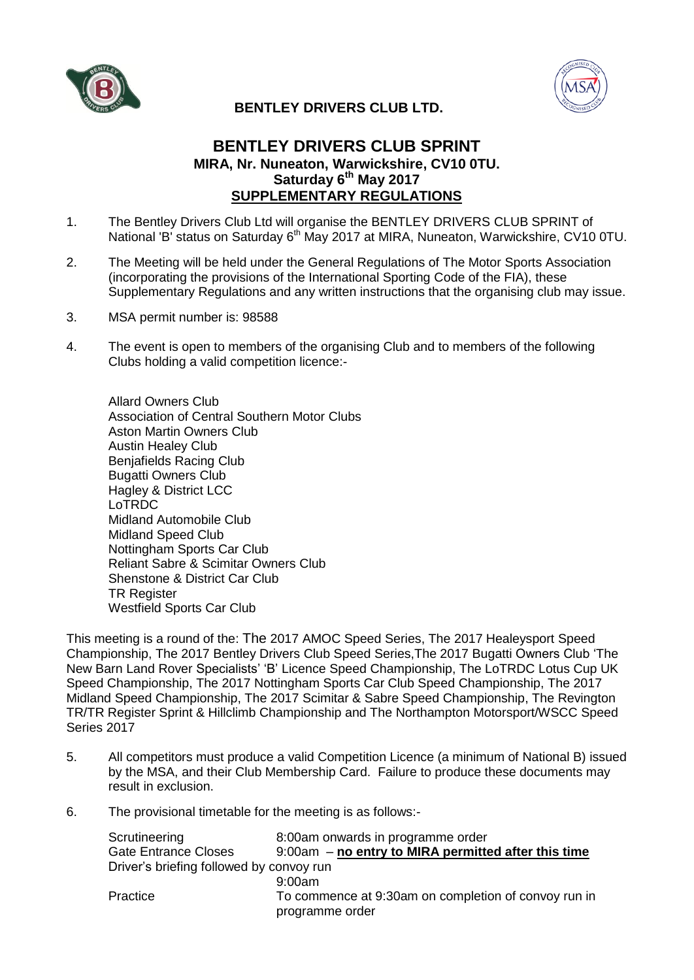



## **BENTLEY DRIVERS CLUB LTD.**

## **BENTLEY DRIVERS CLUB SPRINT MIRA, Nr. Nuneaton, Warwickshire, CV10 0TU. Saturday 6 th May 2017 SUPPLEMENTARY REGULATIONS**

- 1. The Bentley Drivers Club Ltd will organise the BENTLEY DRIVERS CLUB SPRINT of National 'B' status on Saturday 6<sup>th</sup> May 2017 at MIRA, Nuneaton, Warwickshire, CV10 0TU.
- 2. The Meeting will be held under the General Regulations of The Motor Sports Association (incorporating the provisions of the International Sporting Code of the FIA), these Supplementary Regulations and any written instructions that the organising club may issue.
- 3. MSA permit number is: 98588
- 4. The event is open to members of the organising Club and to members of the following Clubs holding a valid competition licence:-

Allard Owners Club Association of Central Southern Motor Clubs Aston Martin Owners Club Austin Healey Club Benjafields Racing Club Bugatti Owners Club Hagley & District LCC LoTRDC Midland Automobile Club Midland Speed Club Nottingham Sports Car Club Reliant Sabre & Scimitar Owners Club Shenstone & District Car Club TR Register Westfield Sports Car Club

This meeting is a round of the: The 2017 AMOC Speed Series, The 2017 Healeysport Speed Championship, The 2017 Bentley Drivers Club Speed Series,The 2017 Bugatti Owners Club 'The New Barn Land Rover Specialists' 'B' Licence Speed Championship, The LoTRDC Lotus Cup UK Speed Championship, The 2017 Nottingham Sports Car Club Speed Championship, The 2017 Midland Speed Championship, The 2017 Scimitar & Sabre Speed Championship, The Revington TR/TR Register Sprint & Hillclimb Championship and The Northampton Motorsport/WSCC Speed Series 2017

- 5. All competitors must produce a valid Competition Licence (a minimum of National B) issued by the MSA, and their Club Membership Card. Failure to produce these documents may result in exclusion.
- 6. The provisional timetable for the meeting is as follows:-

| Scrutineering                            | 8:00am onwards in programme order                                       |  |
|------------------------------------------|-------------------------------------------------------------------------|--|
| <b>Gate Entrance Closes</b>              | $9:00am - no$ entry to MIRA permitted after this time                   |  |
| Driver's briefing followed by convoy run |                                                                         |  |
|                                          | 9:00am                                                                  |  |
| Practice                                 | To commence at 9:30am on completion of convoy run in<br>programme order |  |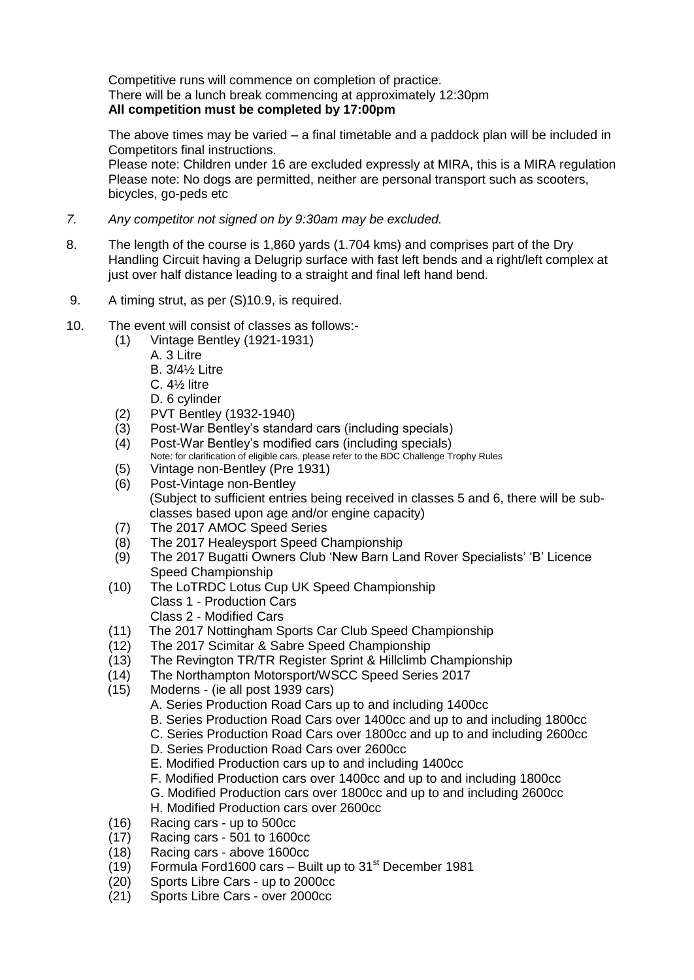Competitive runs will commence on completion of practice. There will be a lunch break commencing at approximately 12:30pm **All competition must be completed by 17:00pm**

The above times may be varied – a final timetable and a paddock plan will be included in Competitors final instructions.

Please note: Children under 16 are excluded expressly at MIRA, this is a MIRA regulation Please note: No dogs are permitted, neither are personal transport such as scooters, bicycles, go-peds etc

- *7. Any competitor not signed on by 9:30am may be excluded.*
- 8. The length of the course is 1,860 yards (1.704 kms) and comprises part of the Dry Handling Circuit having a Delugrip surface with fast left bends and a right/left complex at just over half distance leading to a straight and final left hand bend.
- 9. A timing strut, as per (S)10.9, is required.
- 10. The event will consist of classes as follows:-
	- (1) Vintage Bentley (1921-1931)
		- A. 3 Litre
			- B. 3/4½ Litre
			- C. 4½ litre
		- D. 6 cylinder
	- (2) PVT Bentley (1932-1940)
	- (3) Post-War Bentley's standard cars (including specials)
	- (4) Post-War Bentley's modified cars (including specials) Note: for clarification of eligible cars, please refer to the BDC Challenge Trophy Rules
	- (5) Vintage non-Bentley (Pre 1931)
	- (6) Post-Vintage non-Bentley (Subject to sufficient entries being received in classes 5 and 6, there will be subclasses based upon age and/or engine capacity)
	- (7) The 2017 AMOC Speed Series
	- (8) The 2017 Healeysport Speed Championship
	- (9) The 2017 Bugatti Owners Club 'New Barn Land Rover Specialists' 'B' Licence Speed Championship
	- (10) The LoTRDC Lotus Cup UK Speed Championship Class 1 - Production Cars Class 2 - Modified Cars
	- (11) The 2017 Nottingham Sports Car Club Speed Championship<br>(12) The 2017 Scimitar & Sabre Speed Championship
	- The 2017 Scimitar & Sabre Speed Championship
	- (13) The Revington TR/TR Register Sprint & Hillclimb Championship
	- (14) The Northampton Motorsport/WSCC Speed Series 2017
	- (15) Moderns (ie all post 1939 cars)
		- A. Series Production Road Cars up to and including 1400cc
		- B. Series Production Road Cars over 1400cc and up to and including 1800cc
		- C. Series Production Road Cars over 1800cc and up to and including 2600cc
		- D. Series Production Road Cars over 2600cc
		- E. Modified Production cars up to and including 1400cc
		- F. Modified Production cars over 1400cc and up to and including 1800cc
		- G. Modified Production cars over 1800cc and up to and including 2600cc
		- H. Modified Production cars over 2600cc
	- (16) Racing cars up to 500cc
	- (17) Racing cars 501 to 1600cc
	- (18) Racing cars above 1600cc
	- (19) Formula Ford1600 cars Built up to  $31<sup>st</sup>$  December 1981
	- (20) Sports Libre Cars up to 2000cc
	- (21) Sports Libre Cars over 2000cc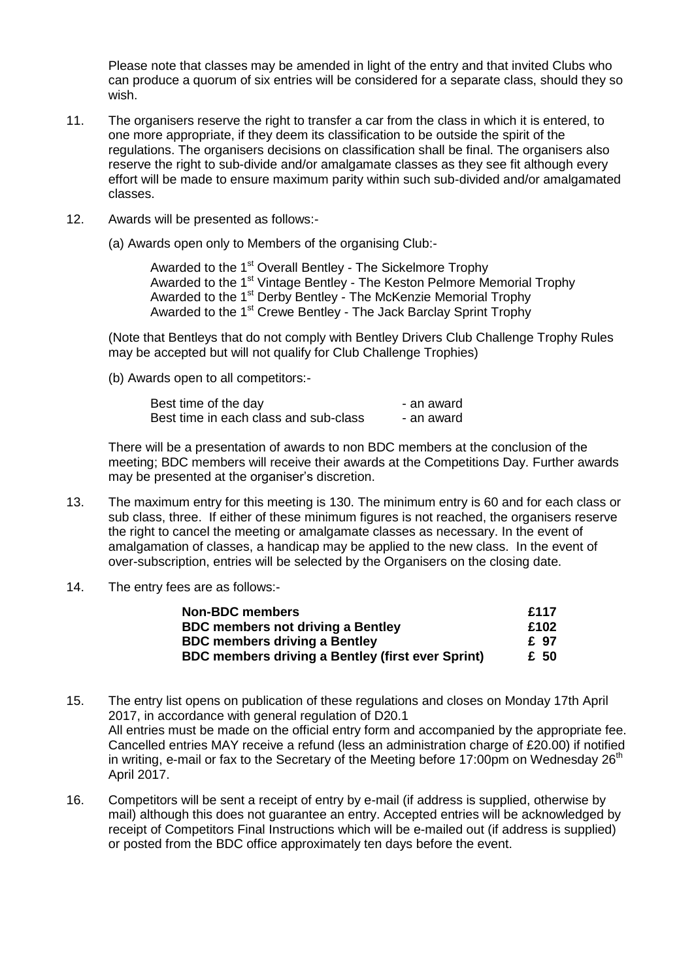Please note that classes may be amended in light of the entry and that invited Clubs who can produce a quorum of six entries will be considered for a separate class, should they so wish.

- 11. The organisers reserve the right to transfer a car from the class in which it is entered, to one more appropriate, if they deem its classification to be outside the spirit of the regulations. The organisers decisions on classification shall be final. The organisers also reserve the right to sub-divide and/or amalgamate classes as they see fit although every effort will be made to ensure maximum parity within such sub-divided and/or amalgamated classes.
- 12. Awards will be presented as follows:-

(a) Awards open only to Members of the organising Club:-

Awarded to the 1<sup>st</sup> Overall Bentley - The Sickelmore Trophy Awarded to the 1<sup>st</sup> Vintage Bentley - The Keston Pelmore Memorial Trophy Awarded to the 1<sup>st</sup> Derby Bentley - The McKenzie Memorial Trophy Awarded to the 1<sup>st</sup> Crewe Bentley - The Jack Barclay Sprint Trophy

(Note that Bentleys that do not comply with Bentley Drivers Club Challenge Trophy Rules may be accepted but will not qualify for Club Challenge Trophies)

(b) Awards open to all competitors:-

Best time of the day example an award Best time in each class and sub-class - an award

There will be a presentation of awards to non BDC members at the conclusion of the meeting; BDC members will receive their awards at the Competitions Day. Further awards may be presented at the organiser's discretion.

- 13. The maximum entry for this meeting is 130. The minimum entry is 60 and for each class or sub class, three. If either of these minimum figures is not reached, the organisers reserve the right to cancel the meeting or amalgamate classes as necessary. In the event of amalgamation of classes, a handicap may be applied to the new class. In the event of over-subscription, entries will be selected by the Organisers on the closing date.
- 14. The entry fees are as follows:-

| <b>Non-BDC members</b>                                   | £117 |
|----------------------------------------------------------|------|
| <b>BDC members not driving a Bentley</b>                 | £102 |
| <b>BDC members driving a Bentley</b>                     | £ 97 |
| <b>BDC members driving a Bentley (first ever Sprint)</b> | £ 50 |

- 15. The entry list opens on publication of these regulations and closes on Monday 17th April 2017, in accordance with general regulation of D20.1 All entries must be made on the official entry form and accompanied by the appropriate fee. Cancelled entries MAY receive a refund (less an administration charge of £20.00) if notified in writing, e-mail or fax to the Secretary of the Meeting before 17:00pm on Wednesday 26<sup>th</sup> April 2017.
- 16. Competitors will be sent a receipt of entry by e-mail (if address is supplied, otherwise by mail) although this does not guarantee an entry. Accepted entries will be acknowledged by receipt of Competitors Final Instructions which will be e-mailed out (if address is supplied) or posted from the BDC office approximately ten days before the event.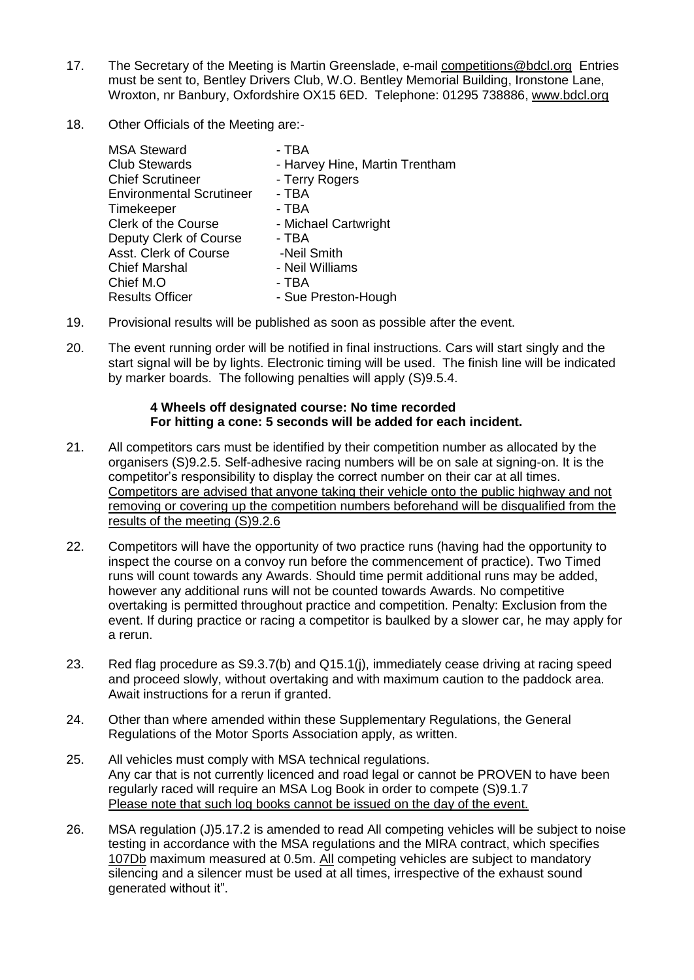- 17. The Secretary of the Meeting is Martin Greenslade, e-mail [competitions@bdcl.org](mailto:competitions@bdcl.org) Entries must be sent to, Bentley Drivers Club, W.O. Bentley Memorial Building, Ironstone Lane, Wroxton, nr Banbury, Oxfordshire OX15 6ED. Telephone: 01295 738886, [www.bdcl.org](http://www.bdcl.org/)
- 18. Other Officials of the Meeting are:-

| <b>MSA Steward</b>              | - TBA                          |
|---------------------------------|--------------------------------|
| <b>Club Stewards</b>            | - Harvey Hine, Martin Trentham |
| <b>Chief Scrutineer</b>         | - Terry Rogers                 |
| <b>Environmental Scrutineer</b> | - TBA                          |
| Timekeeper                      | - TBA                          |
| <b>Clerk of the Course</b>      | - Michael Cartwright           |
| Deputy Clerk of Course          | - TBA                          |
| Asst. Clerk of Course           | -Neil Smith                    |
| <b>Chief Marshal</b>            | - Neil Williams                |
| Chief M.O                       | - TBA                          |
| <b>Results Officer</b>          | - Sue Preston-Hough            |

- 19. Provisional results will be published as soon as possible after the event.
- 20. The event running order will be notified in final instructions. Cars will start singly and the start signal will be by lights. Electronic timing will be used. The finish line will be indicated by marker boards. The following penalties will apply (S)9.5.4.

## **4 Wheels off designated course: No time recorded For hitting a cone: 5 seconds will be added for each incident.**

- 21. All competitors cars must be identified by their competition number as allocated by the organisers (S)9.2.5. Self-adhesive racing numbers will be on sale at signing-on. It is the competitor's responsibility to display the correct number on their car at all times. Competitors are advised that anyone taking their vehicle onto the public highway and not removing or covering up the competition numbers beforehand will be disqualified from the results of the meeting (S)9.2.6
- 22. Competitors will have the opportunity of two practice runs (having had the opportunity to inspect the course on a convoy run before the commencement of practice). Two Timed runs will count towards any Awards. Should time permit additional runs may be added, however any additional runs will not be counted towards Awards. No competitive overtaking is permitted throughout practice and competition. Penalty: Exclusion from the event. If during practice or racing a competitor is baulked by a slower car, he may apply for a rerun.
- 23. Red flag procedure as S9.3.7(b) and Q15.1(j), immediately cease driving at racing speed and proceed slowly, without overtaking and with maximum caution to the paddock area. Await instructions for a rerun if granted.
- 24. Other than where amended within these Supplementary Regulations, the General Regulations of the Motor Sports Association apply, as written.
- 25. All vehicles must comply with MSA technical regulations. Any car that is not currently licenced and road legal or cannot be PROVEN to have been regularly raced will require an MSA Log Book in order to compete (S)9.1.7 Please note that such log books cannot be issued on the day of the event.
- 26. MSA regulation (J)5.17.2 is amended to read All competing vehicles will be subject to noise testing in accordance with the MSA regulations and the MIRA contract, which specifies 107Db maximum measured at 0.5m. All competing vehicles are subject to mandatory  $\overline{\text{silencing}}$  and a silencer must be used at all times, irrespective of the exhaust sound generated without it".